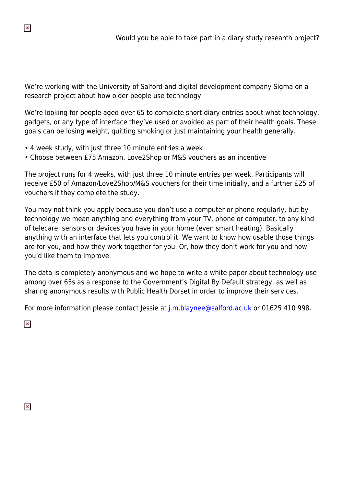We're working with the University of Salford and digital development company Sigma on a research project about how older people use technology.

We're looking for people aged over 65 to complete short diary entries about what technology, gadgets, or any type of interface they've used or avoided as part of their health goals. These goals can be losing weight, quitting smoking or just maintaining your health generally.

- 4 week study, with just three 10 minute entries a week
- Choose between £75 Amazon, Love2Shop or M&S vouchers as an incentive

The project runs for 4 weeks, with just three 10 minute entries per week. Participants will receive £50 of Amazon/Love2Shop/M&S vouchers for their time initially, and a further £25 of vouchers if they complete the study.

You may not think you apply because you don't use a computer or phone regularly, but by technology we mean anything and everything from your TV, phone or computer, to any kind of telecare, sensors or devices you have in your home (even smart heating). Basically anything with an interface that lets you control it. We want to know how usable those things are for you, and how they work together for you. Or, how they don't work for you and how you'd like them to improve.

The data is completely anonymous and we hope to write a white paper about technology use among over 65s as a response to the Government's Digital By Default strategy, as well as sharing anonymous results with Public Health Dorset in order to improve their services.

For more information please contact Jessie at [j.m.blaynee@salford.ac.uk](mailto:j.m.blaynee@salford.ac.uk) or 01625 410 998.

 $\pmb{\times}$ 

 $\pmb{\times}$ 

 $\pmb{\times}$